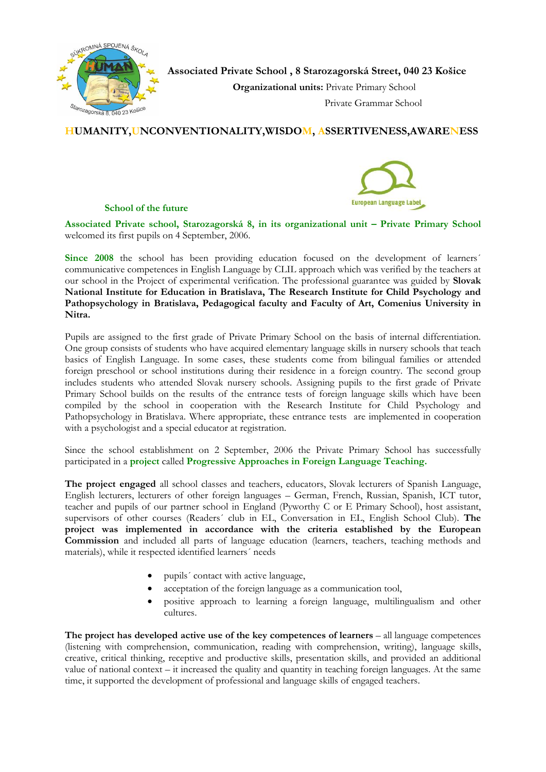

 **Associated Private School , 8 Starozagorská Street, 040 23 Košice**

 **Organizational units:** Private Primary School

# **HUMANITY,UNCONVENTIONALITY,WISDOM, ASSERTIVENESS,AWARENESS**

#### **School of the future**



**Associated Private school, Starozagorská 8, in its organizational unit – Private Primary School** welcomed its first pupils on 4 September, 2006.

Since 2008 the school has been providing education focused on the development of learners<sup>'</sup> communicative competences in English Language by CLIL approach which was verified by the teachers at our school in the Project of experimental verification. The professional guarantee was guided by **Slovak National Institute for Education in Bratislava, The Research Institute for Child Psychology and Pathopsychology in Bratislava, Pedagogical faculty and Faculty of Art, Comenius University in Nitra.** 

Pupils are assigned to the first grade of Private Primary School on the basis of internal differentiation. One group consists of students who have acquired elementary language skills in nursery schools that teach basics of English Language. In some cases, these students come from bilingual families or attended foreign preschool or school institutions during their residence in a foreign country. The second group includes students who attended Slovak nursery schools. Assigning pupils to the first grade of Private Primary School builds on the results of the entrance tests of foreign language skills which have been compiled by the school in cooperation with the Research Institute for Child Psychology and Pathopsychology in Bratislava. Where appropriate, these entrance tests are implemented in cooperation with a psychologist and a special educator at registration.

Since the school establishment on 2 September, 2006 the Private Primary School has successfully participated in a **project** called **Progressive Approaches in Foreign Language Teaching.** 

**The project engaged** all school classes and teachers, educators, Slovak lecturers of Spanish Language, English lecturers, lecturers of other foreign languages – German, French, Russian, Spanish, ICT tutor, teacher and pupils of our partner school in England (Pyworthy C or E Primary School), host assistant, supervisors of other courses (Readers´ club in EL, Conversation in EL, English School Club). **The project was implemented in accordance with the criteria established by the European Commission** and included all parts of language education (learners, teachers, teaching methods and materials), while it respected identified learners´ needs

- pupils´ contact with active language,
- acceptation of the foreign language as a communication tool,
- positive approach to learning a foreign language, multilingualism and other cultures.

**The project has developed active use of the key competences of learners** – all language competences (listening with comprehension, communication, reading with comprehension, writing), language skills, creative, critical thinking, receptive and productive skills, presentation skills, and provided an additional value of national context – it increased the quality and quantity in teaching foreign languages. At the same time, it supported the development of professional and language skills of engaged teachers.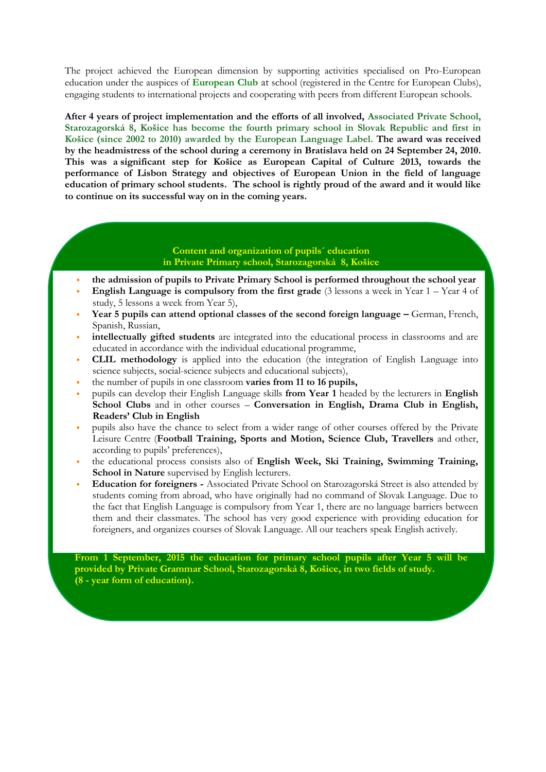The project achieved the European dimension by supporting activities specialised on Pro-European education under the auspices of **European Club** at school (registered in the Centre for European Clubs), engaging students to international projects and cooperating with peers from different European schools.

**After 4 years of project implementation and the efforts of all involved, Associated Private School, Starozagorská 8, Košice has become the fourth primary school in Slovak Republic and first in Košice (since 2002 to 2010) awarded by the European Language Label. The award was received by the headmistress of the school during a ceremony in Bratislava held on 24 September 24, 2010. This was a significant step for Košice as European Capital of Culture 2013, towards the performance of Lisbon Strategy and objectives of European Union in the field of language education of primary school students. The school is rightly proud of the award and it would like to continue on its successful way on in the coming years.** 

## **Content and organization of pupils´ education in Private Primary school, Starozagorská 8, Košice**

- **the admission of pupils to Private Primary School is performed throughout the school year**
- **English Language is compulsory from the first grade** (3 lessons a week in Year 1 Year 4 of study, 5 lessons a week from Year 5),
- **Year 5 pupils can attend optional classes of the second foreign language –** German, French, Spanish, Russian,
- **intellectually gifted students** are integrated into the educational process in classrooms and are educated in accordance with the individual educational programme,
- **CLIL methodology** is applied into the education (the integration of English Language into science subjects, social-science subjects and educational subjects),
- the number of pupils in one classroom **varies from 11 to 16 pupils,**
- pupils can develop their English Language skills **from Year 1** headed by the lecturers in **English School Clubs** and in other courses – **Conversation in English, Drama Club in English, Readers' Club in English**
- pupils also have the chance to select from a wider range of other courses offered by the Private Leisure Centre (**Football Training, Sports and Motion, Science Club, Travellers** and other, according to pupils' preferences),
- the educational process consists also of **English Week, Ski Training, Swimming Training, School in Nature** supervised by English lecturers.
- **Education for foreigners -** Associated Private School on Starozagorská Street is also attended by students coming from abroad, who have originally had no command of Slovak Language. Due to the fact that English Language is compulsory from Year 1, there are no language barriers between them and their classmates. The school has very good experience with providing education for foreigners, and organizes courses of Slovak Language. All our teachers speak English actively.

**From 1 September, 2015 the education for primary school pupils after Year 5 will be provided by Private Grammar School, Starozagorská 8, Košice, in two fields of study. (8 - year form of education).**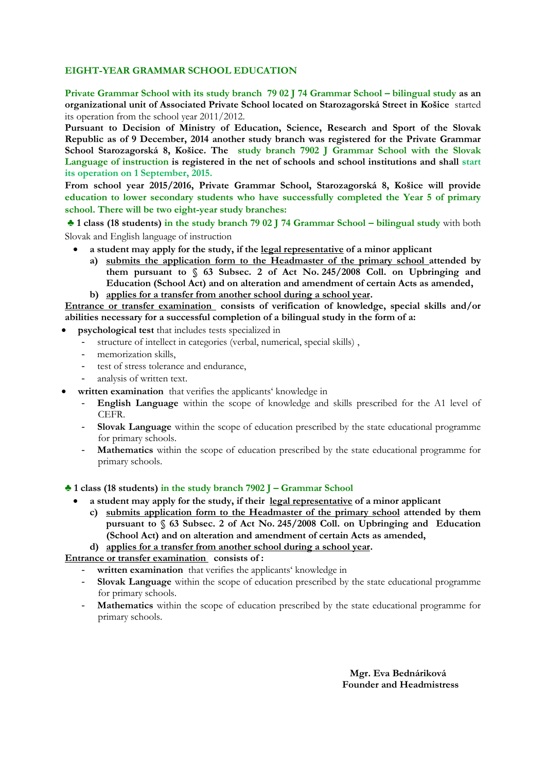## **EIGHT-YEAR GRAMMAR SCHOOL EDUCATION**

**Private Grammar School with its study branch 79 02 J 74 Grammar School – bilingual study as an organizational unit of Associated Private School located on Starozagorská Street in Košice** started its operation from the school year 2011/2012.

**Pursuant to Decision of Ministry of Education, Science, Research and Sport of the Slovak Republic as of 9 December, 2014 another study branch was registered for the Private Grammar School Starozagorská 8, Košice. The study branch 7902 J Grammar School with the Slovak Language of instruction is registered in the net of schools and school institutions and shall start its operation on 1 September, 2015.** 

**From school year 2015/2016, Private Grammar School, Starozagorská 8, Košice will provide education to lower secondary students who have successfully completed the Year 5 of primary school. There will be two eight-year study branches:** 

**♣ 1 class (18 students) in the study branch 79 02 J 74 Grammar School – bilingual study** with both Slovak and English language of instruction

- **a student may apply for the study, if the legal representative of a minor applicant**
	- **a) submits the application form to the Headmaster of the primary school attended by them pursuant to § 63 Subsec. 2 of Act No. 245/2008 Coll. on Upbringing and Education (School Act) and on alteration and amendment of certain Acts as amended,**
	- **b) applies for a transfer from another school during a school year.**

**Entrance or transfer examination consists of verification of knowledge, special skills and/or abilities necessary for a successful completion of a bilingual study in the form of a:**

- **psychological test** that includes tests specialized in
	- structure of intellect in categories (verbal, numerical, special skills),
	- memorization skills,
	- test of stress tolerance and endurance,
	- analysis of written text.
- **written examination** that verifies the applicants' knowledge in
	- **English Language** within the scope of knowledge and skills prescribed for the A1 level of CEFR.
	- **Slovak Language** within the scope of education prescribed by the state educational programme for primary schools.
	- **Mathematics** within the scope of education prescribed by the state educational programme for primary schools.

**♣ 1 class (18 students) in the study branch 7902 J – Grammar School**

- **a student may apply for the study, if their legal representative of a minor applicant**
	- **c) submits application form to the Headmaster of the primary school attended by them pursuant to § 63 Subsec. 2 of Act No. 245/2008 Coll. on Upbringing and Education (School Act) and on alteration and amendment of certain Acts as amended,**

**d) applies for a transfer from another school during a school year.**

**Entrance or transfer examination consists of :** 

- **written examination** that verifies the applicants' knowledge in
- **Slovak Language** within the scope of education prescribed by the state educational programme for primary schools.
- **Mathematics** within the scope of education prescribed by the state educational programme for primary schools.

 **Mgr. Eva Bednáriková Founder and Headmistress**